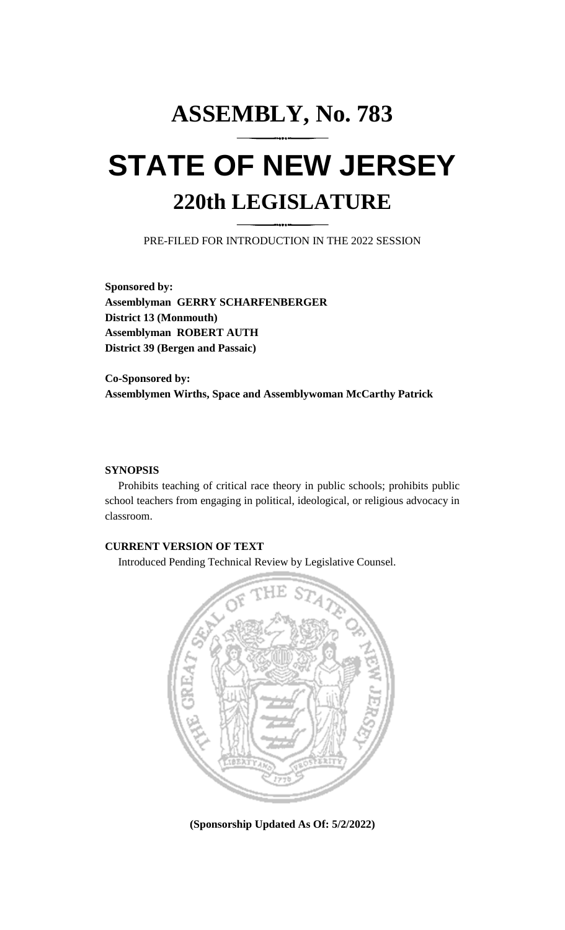# **ASSEMBLY, No. 783 STATE OF NEW JERSEY 220th LEGISLATURE**

PRE-FILED FOR INTRODUCTION IN THE 2022 SESSION

**Sponsored by: Assemblyman GERRY SCHARFENBERGER District 13 (Monmouth) Assemblyman ROBERT AUTH District 39 (Bergen and Passaic)**

**Co-Sponsored by: Assemblymen Wirths, Space and Assemblywoman McCarthy Patrick**

## **SYNOPSIS**

Prohibits teaching of critical race theory in public schools; prohibits public school teachers from engaging in political, ideological, or religious advocacy in classroom.

## **CURRENT VERSION OF TEXT**

Introduced Pending Technical Review by Legislative Counsel.



**(Sponsorship Updated As Of: 5/2/2022)**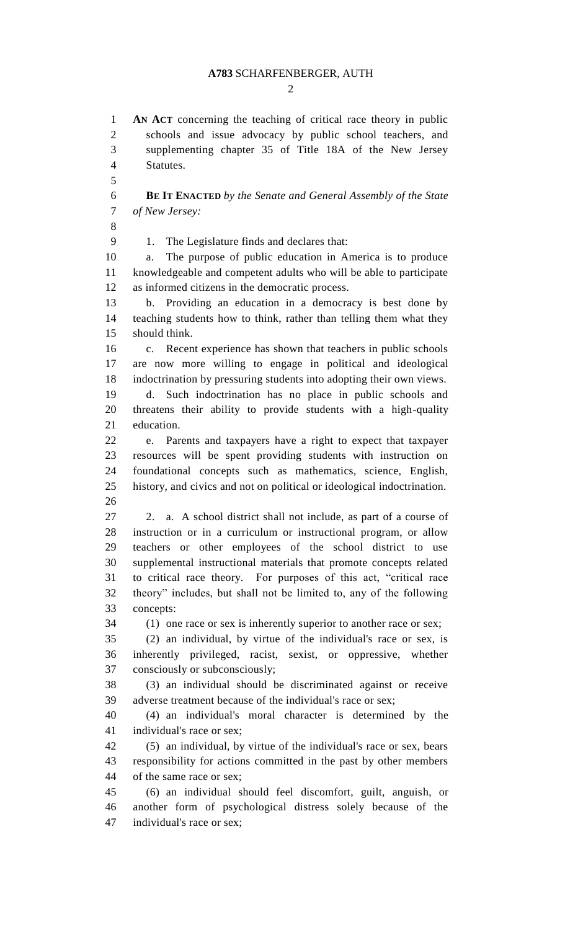$\mathcal{D}_{\mathcal{L}}$ 

 **AN ACT** concerning the teaching of critical race theory in public schools and issue advocacy by public school teachers, and supplementing chapter 35 of Title 18A of the New Jersey Statutes. 

 **BE IT ENACTED** *by the Senate and General Assembly of the State of New Jersey:*

1. The Legislature finds and declares that:

 a. The purpose of public education in America is to produce knowledgeable and competent adults who will be able to participate as informed citizens in the democratic process.

 b. Providing an education in a democracy is best done by teaching students how to think, rather than telling them what they should think.

 c. Recent experience has shown that teachers in public schools are now more willing to engage in political and ideological indoctrination by pressuring students into adopting their own views.

 d. Such indoctrination has no place in public schools and threatens their ability to provide students with a high-quality education.

 e. Parents and taxpayers have a right to expect that taxpayer resources will be spent providing students with instruction on foundational concepts such as mathematics, science, English, history, and civics and not on political or ideological indoctrination. 

 2. a. A school district shall not include, as part of a course of instruction or in a curriculum or instructional program, or allow teachers or other employees of the school district to use supplemental instructional materials that promote concepts related to critical race theory. For purposes of this act, "critical race theory" includes, but shall not be limited to, any of the following concepts:

(1) one race or sex is inherently superior to another race or sex;

 (2) an individual, by virtue of the individual's race or sex, is inherently privileged, racist, sexist, or oppressive, whether consciously or subconsciously;

 (3) an individual should be discriminated against or receive adverse treatment because of the individual's race or sex;

 (4) an individual's moral character is determined by the individual's race or sex;

 (5) an individual, by virtue of the individual's race or sex, bears responsibility for actions committed in the past by other members of the same race or sex;

 (6) an individual should feel discomfort, guilt, anguish, or another form of psychological distress solely because of the individual's race or sex;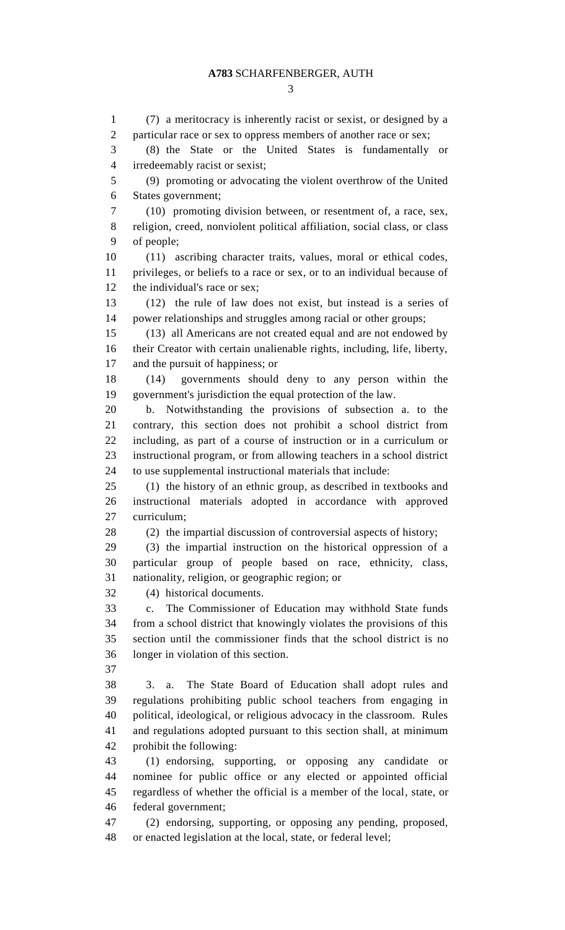(7) a meritocracy is inherently racist or sexist, or designed by a particular race or sex to oppress members of another race or sex; (8) the State or the United States is fundamentally or irredeemably racist or sexist; (9) promoting or advocating the violent overthrow of the United States government; (10) promoting division between, or resentment of, a race, sex, religion, creed, nonviolent political affiliation, social class, or class of people; (11) ascribing character traits, values, moral or ethical codes, privileges, or beliefs to a race or sex, or to an individual because of the individual's race or sex; (12) the rule of law does not exist, but instead is a series of power relationships and struggles among racial or other groups; (13) all Americans are not created equal and are not endowed by their Creator with certain unalienable rights, including, life, liberty, and the pursuit of happiness; or (14) governments should deny to any person within the government's jurisdiction the equal protection of the law. b. Notwithstanding the provisions of subsection a. to the contrary, this section does not prohibit a school district from including, as part of a course of instruction or in a curriculum or instructional program, or from allowing teachers in a school district to use supplemental instructional materials that include: (1) the history of an ethnic group, as described in textbooks and instructional materials adopted in accordance with approved curriculum; (2) the impartial discussion of controversial aspects of history; (3) the impartial instruction on the historical oppression of a particular group of people based on race, ethnicity, class, nationality, religion, or geographic region; or (4) historical documents. c. The Commissioner of Education may withhold State funds from a school district that knowingly violates the provisions of this section until the commissioner finds that the school district is no longer in violation of this section. 3. a. The State Board of Education shall adopt rules and regulations prohibiting public school teachers from engaging in political, ideological, or religious advocacy in the classroom. Rules and regulations adopted pursuant to this section shall, at minimum prohibit the following: (1) endorsing, supporting, or opposing any candidate or nominee for public office or any elected or appointed official regardless of whether the official is a member of the local, state, or federal government; (2) endorsing, supporting, or opposing any pending, proposed, or enacted legislation at the local, state, or federal level;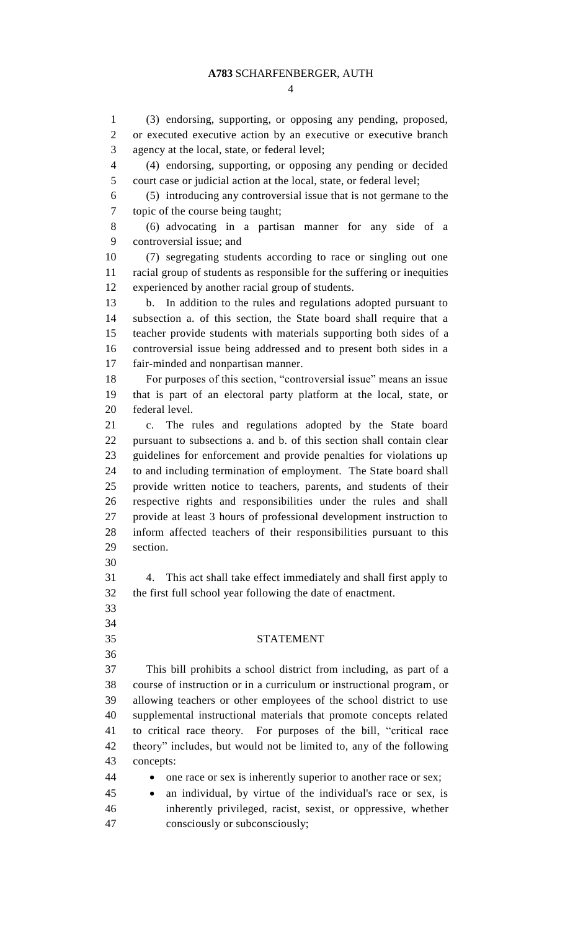$\Delta$ 

 (3) endorsing, supporting, or opposing any pending, proposed, or executed executive action by an executive or executive branch agency at the local, state, or federal level; (4) endorsing, supporting, or opposing any pending or decided court case or judicial action at the local, state, or federal level; (5) introducing any controversial issue that is not germane to the topic of the course being taught; (6) advocating in a partisan manner for any side of a controversial issue; and (7) segregating students according to race or singling out one racial group of students as responsible for the suffering or inequities experienced by another racial group of students. b. In addition to the rules and regulations adopted pursuant to subsection a. of this section, the State board shall require that a teacher provide students with materials supporting both sides of a controversial issue being addressed and to present both sides in a fair-minded and nonpartisan manner. For purposes of this section, "controversial issue" means an issue that is part of an electoral party platform at the local, state, or federal level. c. The rules and regulations adopted by the State board pursuant to subsections a. and b. of this section shall contain clear guidelines for enforcement and provide penalties for violations up to and including termination of employment. The State board shall provide written notice to teachers, parents, and students of their respective rights and responsibilities under the rules and shall provide at least 3 hours of professional development instruction to inform affected teachers of their responsibilities pursuant to this section. 4. This act shall take effect immediately and shall first apply to the first full school year following the date of enactment. STATEMENT This bill prohibits a school district from including, as part of a course of instruction or in a curriculum or instructional program, or allowing teachers or other employees of the school district to use supplemental instructional materials that promote concepts related to critical race theory. For purposes of the bill, "critical race theory" includes, but would not be limited to, any of the following concepts: 44 • one race or sex is inherently superior to another race or sex; an individual, by virtue of the individual's race or sex, is inherently privileged, racist, sexist, or oppressive, whether consciously or subconsciously;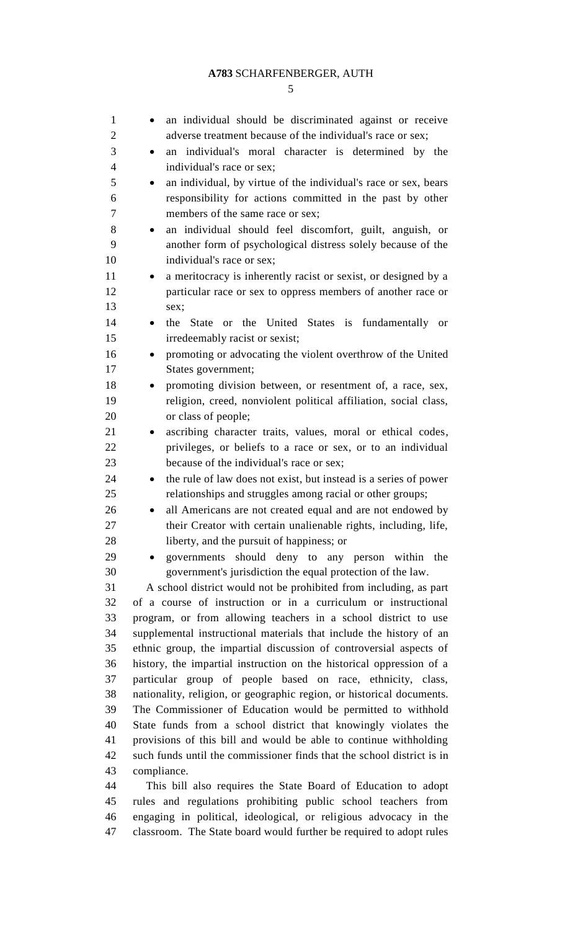| $\mathbf{1}$   | an individual should be discriminated against or receive                                                                          |
|----------------|-----------------------------------------------------------------------------------------------------------------------------------|
| $\overline{2}$ | adverse treatment because of the individual's race or sex;                                                                        |
| 3              | an individual's moral character is determined by the                                                                              |
| $\overline{4}$ | individual's race or sex;                                                                                                         |
| 5              | an individual, by virtue of the individual's race or sex, bears                                                                   |
| 6              | responsibility for actions committed in the past by other                                                                         |
| 7              | members of the same race or sex;                                                                                                  |
| 8              | an individual should feel discomfort, guilt, anguish, or                                                                          |
| 9              | another form of psychological distress solely because of the                                                                      |
| 10             | individual's race or sex;                                                                                                         |
| 11             | a meritocracy is inherently racist or sexist, or designed by a                                                                    |
| 12             | particular race or sex to oppress members of another race or                                                                      |
| 13             | sex;                                                                                                                              |
| 14             | the State or the United States is fundamentally or                                                                                |
| 15             | irredeemably racist or sexist;                                                                                                    |
| 16             | promoting or advocating the violent overthrow of the United<br>$\bullet$                                                          |
| 17             | States government;                                                                                                                |
| 18             | promoting division between, or resentment of, a race, sex,                                                                        |
| 19             | religion, creed, nonviolent political affiliation, social class,                                                                  |
| 20             | or class of people;                                                                                                               |
| 21             | ascribing character traits, values, moral or ethical codes,                                                                       |
| 22             | privileges, or beliefs to a race or sex, or to an individual                                                                      |
| 23             | because of the individual's race or sex;                                                                                          |
| 24             | the rule of law does not exist, but instead is a series of power<br>$\bullet$                                                     |
| 25             | relationships and struggles among racial or other groups;                                                                         |
| 26             | all Americans are not created equal and are not endowed by                                                                        |
| 27             | their Creator with certain unalienable rights, including, life,                                                                   |
| 28             | liberty, and the pursuit of happiness; or                                                                                         |
| 29             | governments should deny to any person within the                                                                                  |
| 30             | government's jurisdiction the equal protection of the law.                                                                        |
| 31             | A school district would not be prohibited from including, as part                                                                 |
| 32             | of a course of instruction or in a curriculum or instructional                                                                    |
| 33             | program, or from allowing teachers in a school district to use                                                                    |
| 34             | supplemental instructional materials that include the history of an                                                               |
| 35             | ethnic group, the impartial discussion of controversial aspects of                                                                |
| 36             | history, the impartial instruction on the historical oppression of a                                                              |
| 37<br>38       | particular group of people based on race, ethnicity, class,                                                                       |
| 39             | nationality, religion, or geographic region, or historical documents.                                                             |
|                |                                                                                                                                   |
|                | The Commissioner of Education would be permitted to withhold                                                                      |
| 40             | State funds from a school district that knowingly violates the                                                                    |
| 41             | provisions of this bill and would be able to continue withholding                                                                 |
| 42             | such funds until the commissioner finds that the school district is in                                                            |
| 43             | compliance.                                                                                                                       |
| 44             | This bill also requires the State Board of Education to adopt                                                                     |
| 45<br>46       | rules and regulations prohibiting public school teachers from<br>engaging in political, ideological, or religious advocacy in the |